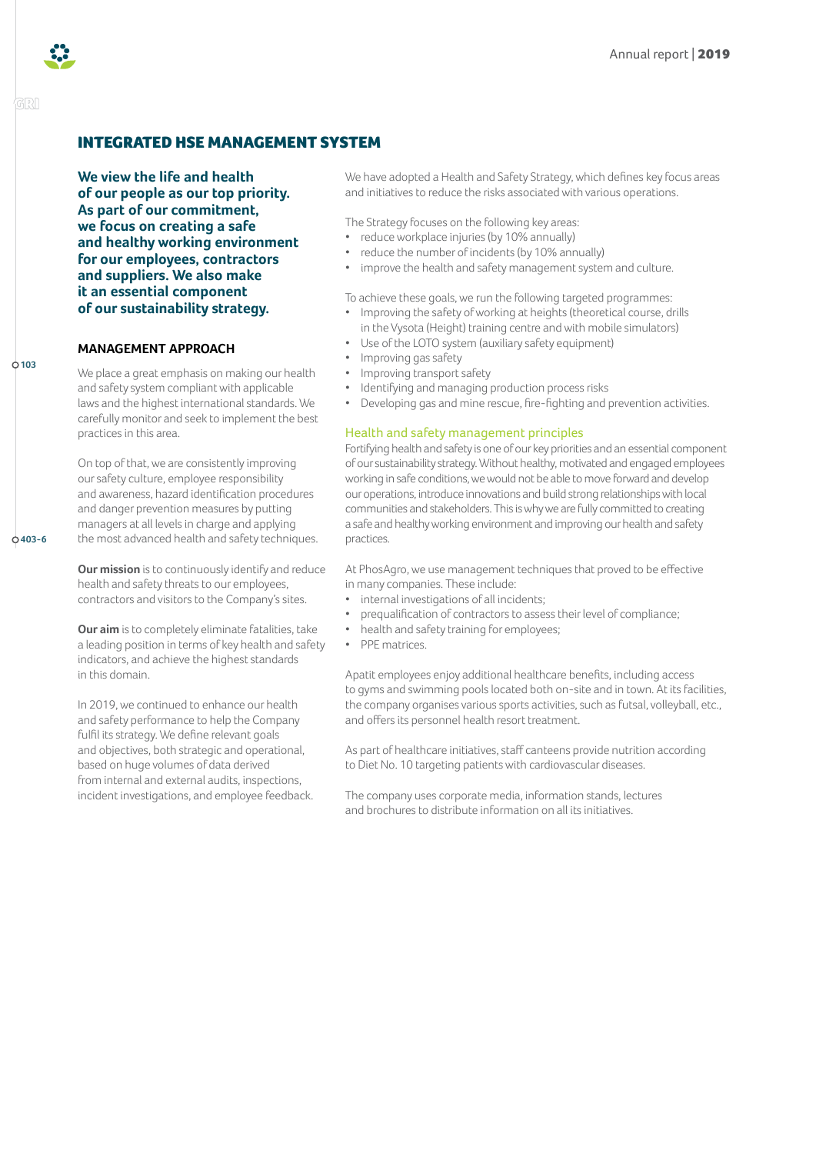

GRI

# INTEGRATED HSE MANAGEMENT SYSTEM

**We view the life and health of our people as our top priority. As part of our commitment, we focus on creating a safe and healthy working environment for our employees, contractors and suppliers. We also make it an essential component of our sustainability strategy.**

# **MANAGEMENT APPROACH**

**103**

**403-6**

We place a great emphasis on making our health and safety system compliant with applicable laws and the highest international standards. We carefully monitor and seek to implement the best practices in this area.

On top of that, we are consistently improving our safety culture, employee responsibility and awareness, hazard identification procedures and danger prevention measures by putting managers at all levels in charge and applying the most advanced health and safety techniques.

**Our mission** is to continuously identify and reduce health and safety threats to our employees, contractors and visitors to the Company's sites.

**Our aim** is to completely eliminate fatalities, take a leading position in terms of key health and safety indicators, and achieve the highest standards in this domain.

In 2019, we continued to enhance our health and safety performance to help the Company fulfil its strategy. We define relevant goals and objectives, both strategic and operational, based on huge volumes of data derived from internal and external audits, inspections, incident investigations, and employee feedback. We have adopted a Health and Safety Strategy, which defines key focus areas and initiatives to reduce the risks associated with various operations.

The Strategy focuses on the following key areas:

- reduce workplace injuries (by 10% annually)
- reduce the number of incidents (by 10% annually)
- improve the health and safety management system and culture.

To achieve these goals, we run the following targeted programmes:

- Improving the safety of working at heights (theoretical course, drills in the Vysota (Height) training centre and with mobile simulators)
- Use of the LOTO system (auxiliary safety equipment)
- Improving gas safety
- Improving transport safety
- Identifying and managing production process risks
- Developing gas and mine rescue, fire-fighting and prevention activities.

# Health and safety management principles

Fortifying health and safety is one of our key priorities and an essential component of our sustainability strategy. Without healthy, motivated and engaged employees working in safe conditions, we would not be able to move forward and develop our operations, introduce innovations and build strong relationships with local communities and stakeholders. This is why we are fully committed to creating a safe and healthy working environment and improving our health and safety practices.

At PhosAgro, we use management techniques that proved to be effective in many companies. These include:

- internal investigations of all incidents;
- prequalification of contractors to assess their level of compliance;
- health and safety training for employees;
- PPE matrices.

Apatit employees enjoy additional healthcare benefits, including access to gyms and swimming pools located both on-site and in town. At its facilities, the company organises various sports activities, such as futsal, volleyball, etc., and offers its personnel health resort treatment.

As part of healthcare initiatives, staff canteens provide nutrition according to Diet No. 10 targeting patients with cardiovascular diseases.

The company uses corporate media, information stands, lectures and brochures to distribute information on all its initiatives.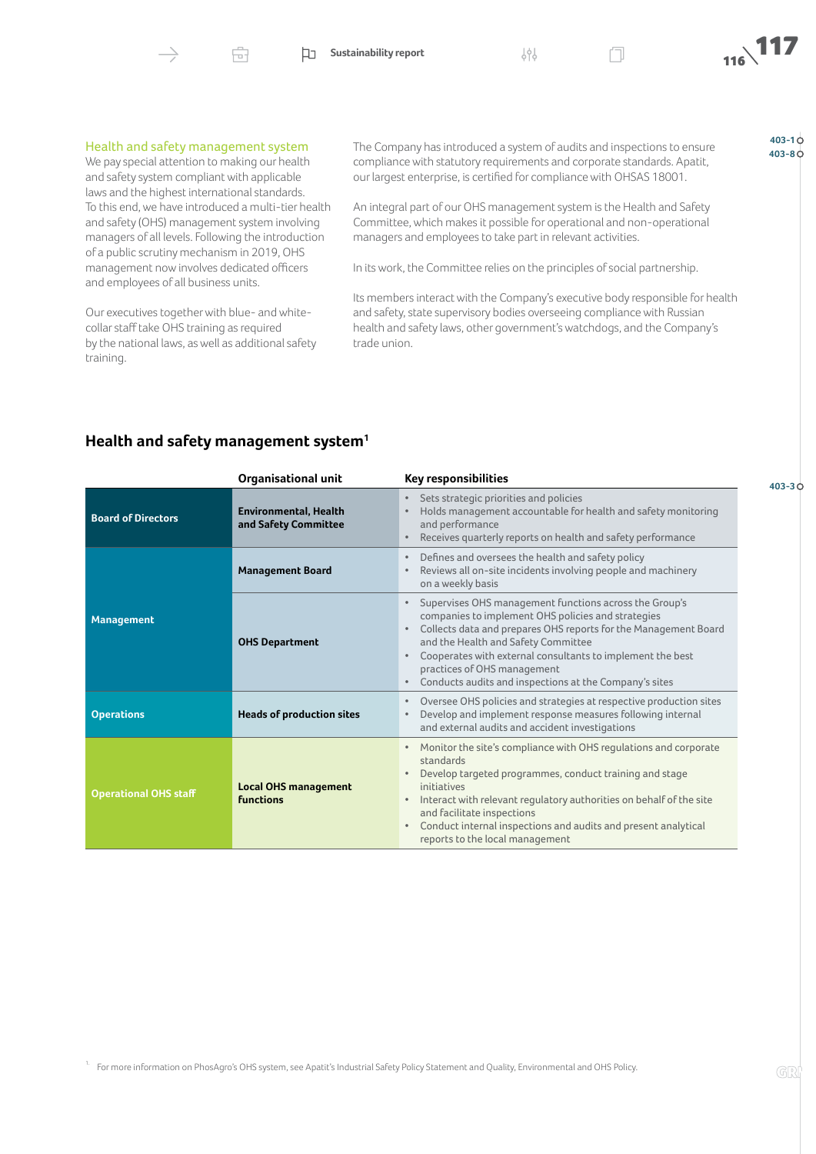

Ĥ.



**403-1**

Ò

#### Health and safety management system

We pay special attention to making our health and safety system compliant with applicable laws and the highest international standards. To this end, we have introduced a multi-tier health and safety (OHS) management system involving managers of all levels. Following the introduction of a public scrutiny mechanism in 2019, OHS management now involves dedicated officers and employees of all business units.

Our executives together with blue- and whitecollar staff take OHS training as required by the national laws, as well as additional safety training.

The Company has introduced a system of audits and inspections to ensure **403-10**<br>403-80 compliance with statutory requirements and corporate standards. Apatit, our largest enterprise, is certified for compliance with OHSAS 18001.

An integral part of our OHS management system is the Health and Safety Committee, which makes it possible for operational and non-operational managers and employees to take part in relevant activities.

In its work, the Committee relies on the principles of social partnership.

Its members interact with the Company's executive body responsible for health and safety, state supervisory bodies overseeing compliance with Russian health and safety laws, other government's watchdogs, and the Company's trade union.

# **Health and safety management system[1](#page-1-0)**

<span id="page-1-0"></span>

|                              | <b>Organisational unit</b>                           | <b>Key responsibilities</b>                                                                                                                                                                                                                                                                                                                                                                |
|------------------------------|------------------------------------------------------|--------------------------------------------------------------------------------------------------------------------------------------------------------------------------------------------------------------------------------------------------------------------------------------------------------------------------------------------------------------------------------------------|
| <b>Board of Directors</b>    | <b>Environmental, Health</b><br>and Safety Committee | Sets strategic priorities and policies<br>Holds management accountable for health and safety monitoring<br>and performance<br>Receives quarterly reports on health and safety performance<br>$\bullet$                                                                                                                                                                                     |
| <b>Management</b>            | <b>Management Board</b>                              | Defines and oversees the health and safety policy<br>Reviews all on-site incidents involving people and machinery<br>on a weekly basis                                                                                                                                                                                                                                                     |
|                              | <b>OHS Department</b>                                | Supervises OHS management functions across the Group's<br>companies to implement OHS policies and strategies<br>Collects data and prepares OHS reports for the Management Board<br>and the Health and Safety Committee<br>Cooperates with external consultants to implement the best<br>practices of OHS management<br>Conducts audits and inspections at the Company's sites<br>$\bullet$ |
| <b>Operations</b>            | <b>Heads of production sites</b>                     | Oversee OHS policies and strategies at respective production sites<br>$\bullet$<br>Develop and implement response measures following internal<br>and external audits and accident investigations                                                                                                                                                                                           |
| <b>Operational OHS staff</b> | <b>Local OHS management</b><br><b>functions</b>      | Monitor the site's compliance with OHS regulations and corporate<br>standards<br>Develop targeted programmes, conduct training and stage<br>initiatives<br>Interact with relevant regulatory authorities on behalf of the site<br>and facilitate inspections<br>Conduct internal inspections and audits and present analytical<br>$\bullet$<br>reports to the local management             |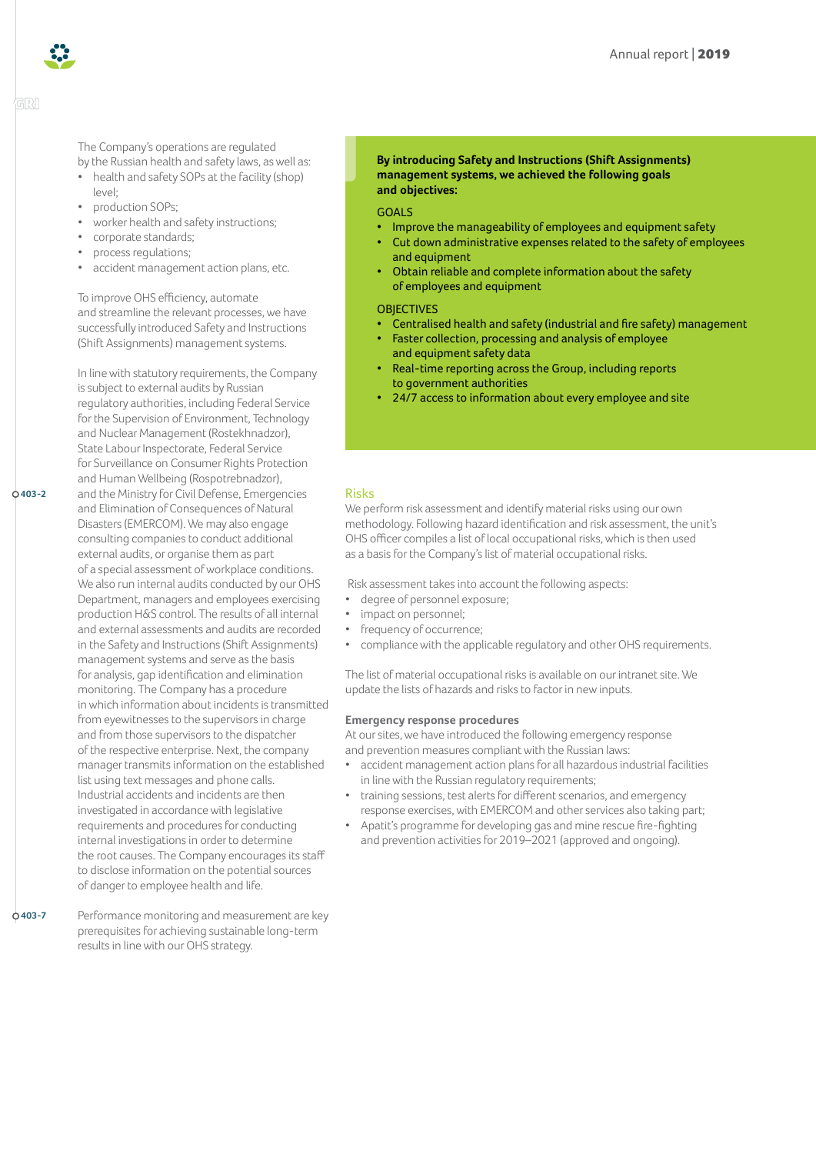

GRI

**403-2**

The Company's operations are regulated by the Russian health and safety laws, as well as:

- health and safety SOPs at the facility (shop)  $|P| \leq |P|$
- production SOPs;
- worker health and safety instructions;
- corporate standards;
- process regulations;
- accident management action plans, etc.

To improve OHS efficiency, automate and streamline the relevant processes, we have successfully introduced Safety and Instructions (Shift Assignments) management systems.

In line with statutory requirements, the Company is subject to external audits by Russian regulatory authorities, including Federal Service for the Supervision of Environment, Technology and Nuclear Management (Rostekhnadzor), State Labour Inspectorate, Federal Service for Surveillance on Consumer Rights Protection and Human Wellbeing (Rospotrebnadzor), and the Ministry for Civil Defense, Emergencies and Elimination of Consequences of Natural Disasters (EMERCOM). We may also engage consulting companies to conduct additional external audits, or organise them as part of a special assessment of workplace conditions. We also run internal audits conducted by our OHS Department, managers and employees exercising production H&S control. The results of all internal and external assessments and audits are recorded in the Safety and Instructions (Shift Assignments) management systems and serve as the basis for analysis, gap identification and elimination monitoring. The Company has a procedure in which information about incidents is transmitted from eyewitnesses to the supervisors in charge and from those supervisors to the dispatcher of the respective enterprise. Next, the company manager transmits information on the established list using text messages and phone calls. Industrial accidents and incidents are then investigated in accordance with legislative requirements and procedures for conducting internal investigations in order to determine the root causes. The Company encourages its staff to disclose information on the potential sources of danger to employee health and life.

**403-7**

Performance monitoring and measurement are key prerequisites for achieving sustainable long-term results in line with our OHS strategy.

#### **By introducing Safety and Instructions (Shift Assignments) management systems, we achieved the following goals and objectives:**

#### GOALS

- Improve the manageability of employees and equipment safety
- Cut down administrative expenses related to the safety of employees and equipment
- Obtain reliable and complete information about the safety of employees and equipment

#### **OBJECTIVES**

- Centralised health and safety (industrial and fire safety) management
- Faster collection, processing and analysis of employee and equipment safety data
- Real-time reporting across the Group, including reports to government authorities
- 24/7 access to information about every employee and site

# Risks

We perform risk assessment and identify material risks using our own methodology. Following hazard identification and risk assessment, the unit's OHS officer compiles a list of local occupational risks, which is then used as a basis for the Company's list of material occupational risks.

Risk assessment takes into account the following aspects:

- degree of personnel exposure;
- impact on personnel;
- frequency of occurrence;
- compliance with the applicable regulatory and other OHS requirements.

The list of material occupational risks is available on our intranet site. We update the lists of hazards and risks to factor in new inputs.

# **Emergency response procedures**

At our sites, we have introduced the following emergency response and prevention measures compliant with the Russian laws:

- accident management action plans for all hazardous industrial facilities in line with the Russian regulatory requirements;
- training sessions, test alerts for different scenarios, and emergency response exercises, with EMERCOM and other services also taking part;
- Apatit's programme for developing gas and mine rescue fire-fighting and prevention activities for 2019–2021 (approved and ongoing).